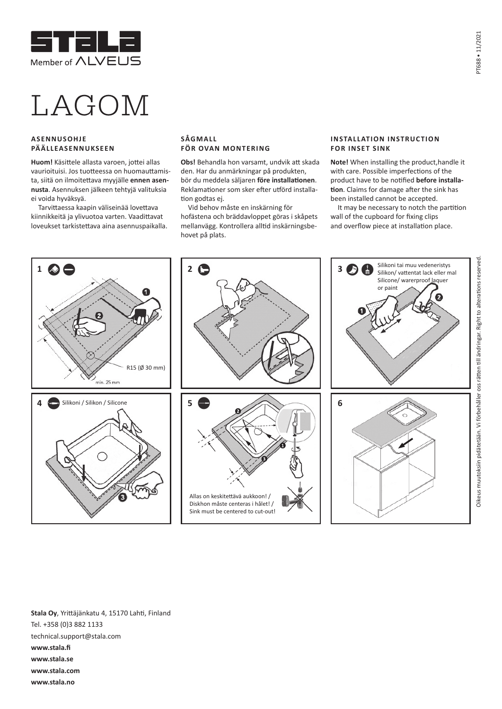

## LAGOM

## **ASENNUSOHJE PÄÄLLEASENNUKSEEN**

**Huom!** Käsittele allasta varoen, jottei allas vaurioituisi. Jos tuotteessa on huomauttamista, siitä on ilmoitettava myyjälle **ennen asennusta**. Asennuksen jälkeen tehtyjä valituksia ei voida hyväksyä.

Tarvittaessa kaapin väliseinää lovettava kiinnikkeitä ja ylivuotoa varten. Vaadittavat loveukset tarkistettava aina asennuspaikalla.

## **SÅGMALL FÖR OVAN MONTERING**

**Obs!** Behandla hon varsamt, undvik att skada den. Har du anmärkningar på produkten, bör du meddela säljaren **före installationen**. Reklamationer som sker efter utförd installation godtas ej.

Vid behov måste en inskärning för hofästena och bräddavloppet göras i skåpets mellanvägg. Kontrollera alltid inskärningsbehovet på plats.

## **INSTALLATION INSTRUCTION FOR INSET SINK**

**Note!** When installing the product,handle it with care. Possible imperfections of the product have to be notified **before installation**. Claims for damage after the sink has been installed cannot be accepted.

It may be necessary to notch the partition wall of the cupboard for fixing clips and overflow piece at installation place.



**Stala Oy**, Yrittäjänkatu 4, 15170 Lahti, Finland Tel. +358 (0)3 882 1133 technical.support@stala.com **www.stala.fi www.stala.se www.stala.com www.stala.no**